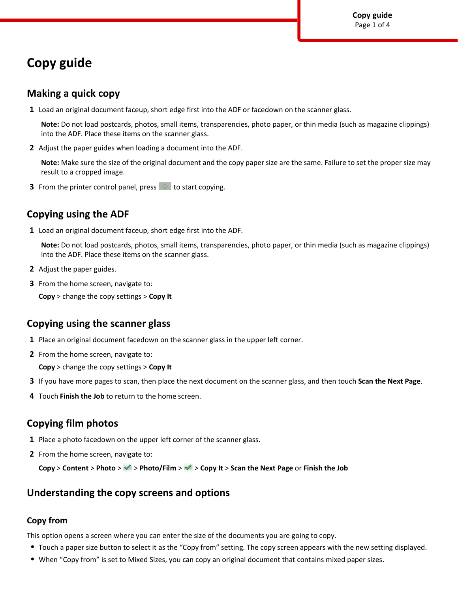# **Copy guide**

### **Making a quick copy**

**1** Load an original document faceup, short edge first into the ADF or facedown on the scanner glass.

**Note:** Do not load postcards, photos, small items, transparencies, photo paper, or thin media (such as magazine clippings) into the ADF. Place these items on the scanner glass.

**2** Adjust the paper guides when loading a document into the ADF.

**Note:** Make sure the size of the original document and the copy paper size are the same. Failure to set the proper size may result to a cropped image.

**3** From the printer control panel, press  $\Diamond$  to start copying.

# **Copying using the ADF**

**1** Load an original document faceup, short edge first into the ADF.

**Note:** Do not load postcards, photos, small items, transparencies, photo paper, or thin media (such as magazine clippings) into the ADF. Place these items on the scanner glass.

- **2** Adjust the paper guides.
- **3** From the home screen, navigate to:

**Copy** > change the copy settings > **Copy It**

# **Copying using the scanner glass**

- **1** Place an original document facedown on the scanner glass in the upper left corner.
- **2** From the home screen, navigate to:

**Copy** > change the copy settings > **Copy It**

- **3** If you have more pages to scan, then place the next document on the scanner glass, and then touch **Scan the Next Page**.
- **4** Touch **Finish the Job** to return to the home screen.

# **Copying film photos**

- **1** Place a photo facedown on the upper left corner of the scanner glass.
- **2** From the home screen, navigate to:

**Copy** > **Content** > **Photo** > > **Photo/Film** > > **Copy It** > **Scan the Next Page** or **Finish the Job**

# **Understanding the copy screens and options**

#### **Copy from**

This option opens a screen where you can enter the size of the documents you are going to copy.

- **•** Touch a paper size button to select it as the "Copy from" setting. The copy screen appears with the new setting displayed.
- **•** When "Copy from" is set to Mixed Sizes, you can copy an original document that contains mixed paper sizes.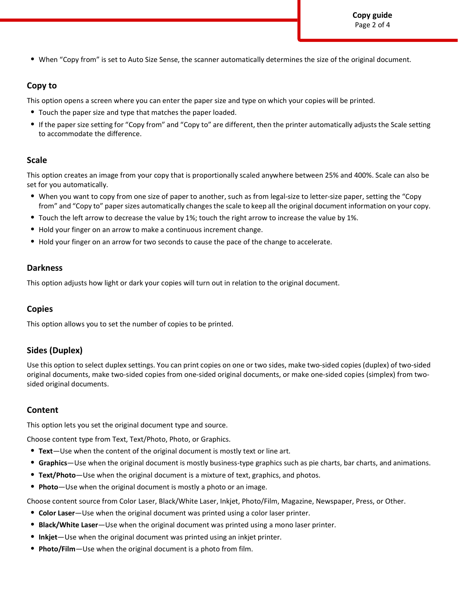**Copy guide** Page 2 of 4

**•** When "Copy from" is set to Auto Size Sense, the scanner automatically determines the size of the original document.

#### **Copy to**

This option opens a screen where you can enter the paper size and type on which your copies will be printed.

- **•** Touch the paper size and type that matches the paper loaded.
- **•** If the paper size setting for "Copy from" and "Copy to" are different, then the printer automatically adjusts the Scale setting to accommodate the difference.

#### **Scale**

This option creates an image from your copy that is proportionally scaled anywhere between 25% and 400%. Scale can also be set for you automatically.

- **•** When you want to copy from one size of paper to another, such as from legal-size to letter-size paper, setting the "Copy from" and "Copy to" paper sizes automatically changes the scale to keep all the original document information on your copy.
- **•** Touch the left arrow to decrease the value by 1%; touch the right arrow to increase the value by 1%.
- **•** Hold your finger on an arrow to make a continuous increment change.
- **•** Hold your finger on an arrow for two seconds to cause the pace of the change to accelerate.

#### **Darkness**

This option adjusts how light or dark your copies will turn out in relation to the original document.

#### **Copies**

This option allows you to set the number of copies to be printed.

### **Sides (Duplex)**

Use this option to select duplex settings. You can print copies on one or two sides, make two-sided copies (duplex) of two-sided original documents, make two-sided copies from one-sided original documents, or make one-sided copies (simplex) from twosided original documents.

#### **Content**

This option lets you set the original document type and source.

Choose content type from Text, Text/Photo, Photo, or Graphics.

- **• Text**—Use when the content of the original document is mostly text or line art.
- **• Graphics**—Use when the original document is mostly business-type graphics such as pie charts, bar charts, and animations.
- **• Text/Photo**—Use when the original document is a mixture of text, graphics, and photos.
- **• Photo**—Use when the original document is mostly a photo or an image.

Choose content source from Color Laser, Black/White Laser, Inkjet, Photo/Film, Magazine, Newspaper, Press, or Other.

- **• Color Laser**—Use when the original document was printed using a color laser printer.
- **• Black/White Laser**—Use when the original document was printed using a mono laser printer.
- **• Inkjet**—Use when the original document was printed using an inkjet printer.
- **• Photo/Film**—Use when the original document is a photo from film.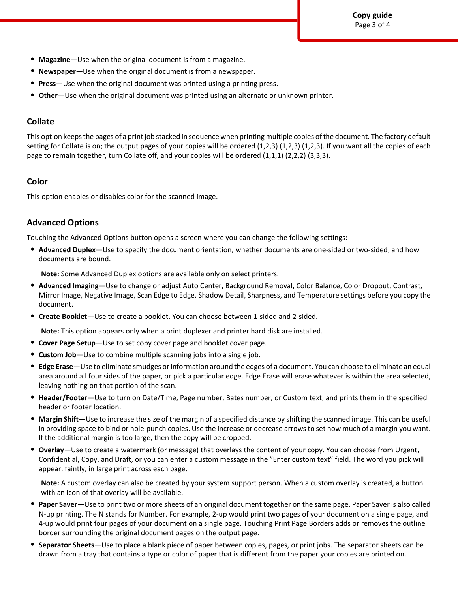- **• Magazine**—Use when the original document is from a magazine.
- **• Newspaper**—Use when the original document is from a newspaper.
- **• Press**—Use when the original document was printed using a printing press.
- **• Other**—Use when the original document was printed using an alternate or unknown printer.

### **Collate**

This option keeps the pages of a print job stacked in sequence when printing multiple copies of the document. The factory default setting for Collate is on; the output pages of your copies will be ordered (1,2,3) (1,2,3) (1,2,3). If you want all the copies of each page to remain together, turn Collate off, and your copies will be ordered (1,1,1) (2,2,2) (3,3,3).

### **Color**

This option enables or disables color for the scanned image.

### **Advanced Options**

Touching the Advanced Options button opens a screen where you can change the following settings:

**• Advanced Duplex**—Use to specify the document orientation, whether documents are one-sided or two-sided, and how documents are bound.

**Note:** Some Advanced Duplex options are available only on select printers.

- **• Advanced Imaging**—Use to change or adjust Auto Center, Background Removal, Color Balance, Color Dropout, Contrast, Mirror Image, Negative Image, Scan Edge to Edge, Shadow Detail, Sharpness, and Temperature settings before you copy the document.
- **• Create Booklet**—Use to create a booklet. You can choose between 1-sided and 2-sided.

**Note:** This option appears only when a print duplexer and printer hard disk are installed.

- **• Cover Page Setup**—Use to set copy cover page and booklet cover page.
- **• Custom Job**—Use to combine multiple scanning jobs into a single job.
- **• Edge Erase**—Use to eliminate smudges or information around the edges of a document. You can choose to eliminate an equal area around all four sides of the paper, or pick a particular edge. Edge Erase will erase whatever is within the area selected, leaving nothing on that portion of the scan.
- **• Header/Footer**—Use to turn on Date/Time, Page number, Bates number, or Custom text, and prints them in the specified header or footer location.
- **• Margin Shift**—Use to increase the size of the margin of a specified distance by shifting the scanned image. This can be useful in providing space to bind or hole-punch copies. Use the increase or decrease arrows to set how much of a margin you want. If the additional margin is too large, then the copy will be cropped.
- **• Overlay**—Use to create a watermark (or message) that overlays the content of your copy. You can choose from Urgent, Confidential, Copy, and Draft, or you can enter a custom message in the "Enter custom text" field. The word you pick will appear, faintly, in large print across each page.

**Note:** A custom overlay can also be created by your system support person. When a custom overlay is created, a button with an icon of that overlay will be available.

- **• Paper Saver**—Use to print two or more sheets of an original document together on the same page. Paper Saver is also called N-up printing. The N stands for Number. For example, 2-up would print two pages of your document on a single page, and 4-up would print four pages of your document on a single page. Touching Print Page Borders adds or removes the outline border surrounding the original document pages on the output page.
- **• Separator Sheets**—Use to place a blank piece of paper between copies, pages, or print jobs. The separator sheets can be drawn from a tray that contains a type or color of paper that is different from the paper your copies are printed on.